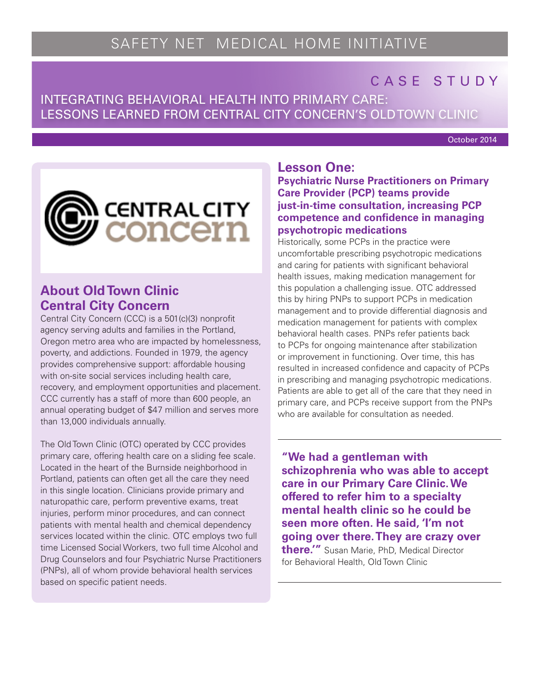# CASE STUDY

# INTEGRATING BEHAVIORAL HEALTH INTO PRIMARY CARE: LESSONS LEARNED FROM CENTRAL CITY CONCERN'S OLD TOWN CLINIC

October 2014



## **About Old Town Clinic Central City Concern**

Central City Concern (CCC) is a 501(c)(3) nonprofit agency serving adults and families in the Portland, Oregon metro area who are impacted by homelessness, poverty, and addictions. Founded in 1979, the agency provides comprehensive support: affordable housing with on-site social services including health care, recovery, and employment opportunities and placement. CCC currently has a staff of more than 600 people, an annual operating budget of \$47 million and serves more than 13,000 individuals annually.

The Old Town Clinic (OTC) operated by CCC provides primary care, offering health care on a sliding fee scale. Located in the heart of the Burnside neighborhood in Portland, patients can often get all the care they need in this single location. Clinicians provide primary and naturopathic care, perform preventive exams, treat injuries, perform minor procedures, and can connect patients with mental health and chemical dependency services located within the clinic. OTC employs two full time Licensed Social Workers, two full time Alcohol and Drug Counselors and four Psychiatric Nurse Practitioners (PNPs), all of whom provide behavioral health services based on specific patient needs.

### **Lesson One:**

**Psychiatric Nurse Practitioners on Primary Care Provider (PCP) teams provide just-in-time consultation, increasing PCP competence and confidence in managing psychotropic medications** 

Historically, some PCPs in the practice were uncomfortable prescribing psychotropic medications and caring for patients with significant behavioral health issues, making medication management for this population a challenging issue. OTC addressed this by hiring PNPs to support PCPs in medication management and to provide differential diagnosis and medication management for patients with complex behavioral health cases. PNPs refer patients back to PCPs for ongoing maintenance after stabilization or improvement in functioning. Over time, this has resulted in increased confidence and capacity of PCPs in prescribing and managing psychotropic medications. Patients are able to get all of the care that they need in primary care, and PCPs receive support from the PNPs who are available for consultation as needed.

**"We had a gentleman with schizophrenia who was able to accept care in our Primary Care Clinic. We offered to refer him to a specialty mental health clinic so he could be seen more often. He said, 'I'm not going over there. They are crazy over there.'"** Susan Marie, PhD, Medical Director for Behavioral Health, Old Town Clinic